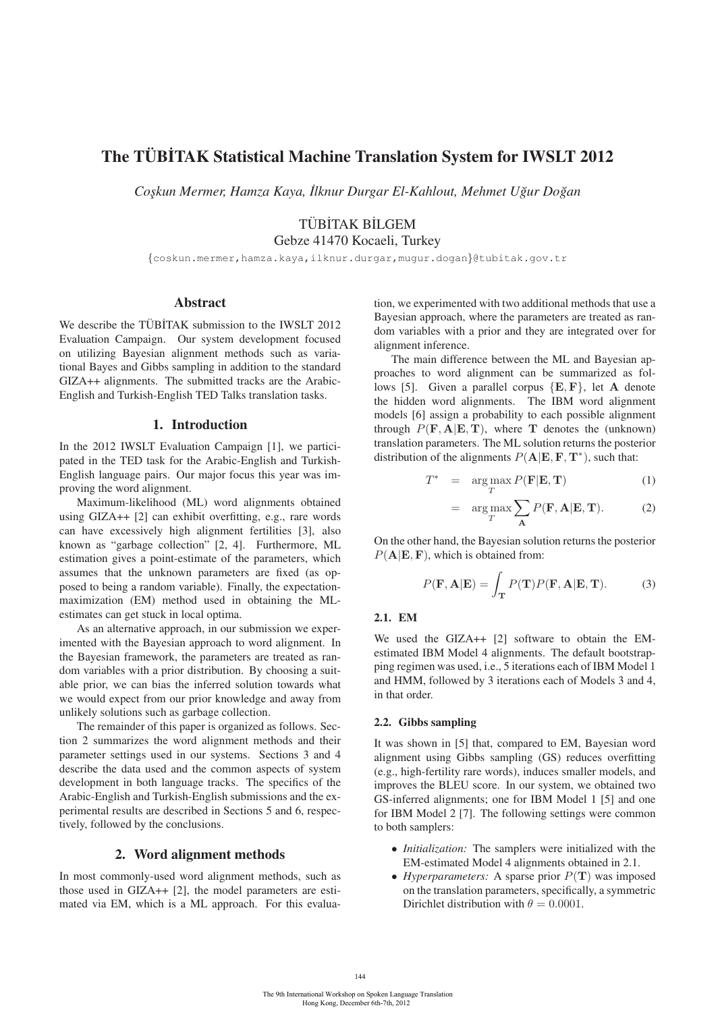# The TÜBİTAK Statistical Machine Translation System for IWSLT 2012

*Cos¸kun Mermer, Hamza Kaya, ˙Ilknur Durgar El-Kahlout, Mehmet Ugur Do ˘ gan ˘*

## TÜBİTAK BİLGEM

Gebze 41470 Kocaeli, Turkey

{coskun.mermer,hamza.kaya,ilknur.durgar,mugur.dogan}@tubitak.gov.tr

### Abstract

We describe the TÜBİTAK submission to the IWSLT 2012 Evaluation Campaign. Our system development focused on utilizing Bayesian alignment methods such as variational Bayes and Gibbs sampling in addition to the standard GIZA++ alignments. The submitted tracks are the Arabic-English and Turkish-English TED Talks translation tasks.

### 1. Introduction

In the 2012 IWSLT Evaluation Campaign [1], we participated in the TED task for the Arabic-English and Turkish-English language pairs. Our major focus this year was improving the word alignment.

Maximum-likelihood (ML) word alignments obtained using GIZA++ [2] can exhibit overfitting, e.g., rare words can have excessively high alignment fertilities [3], also known as "garbage collection" [2, 4]. Furthermore, ML estimation gives a point-estimate of the parameters, which assumes that the unknown parameters are fixed (as opposed to being a random variable). Finally, the expectationmaximization (EM) method used in obtaining the MLestimates can get stuck in local optima.

As an alternative approach, in our submission we experimented with the Bayesian approach to word alignment. In the Bayesian framework, the parameters are treated as random variables with a prior distribution. By choosing a suitable prior, we can bias the inferred solution towards what we would expect from our prior knowledge and away from unlikely solutions such as garbage collection.

The remainder of this paper is organized as follows. Section 2 summarizes the word alignment methods and their parameter settings used in our systems. Sections 3 and 4 describe the data used and the common aspects of system development in both language tracks. The specifics of the Arabic-English and Turkish-English submissions and the experimental results are described in Sections 5 and 6, respectively, followed by the conclusions.

### 2. Word alignment methods

In most commonly-used word alignment methods, such as those used in GIZA++ [2], the model parameters are estimated via EM, which is a ML approach. For this evaluation, we experimented with two additional methods that use a Bayesian approach, where the parameters are treated as random variables with a prior and they are integrated over for alignment inference.

The main difference between the ML and Bayesian approaches to word alignment can be summarized as follows [5]. Given a parallel corpus {**E**, **F**}, let **A** denote the hidden word alignments. The IBM word alignment models [6] assign a probability to each possible alignment through  $P(\mathbf{F}, \mathbf{A} | \mathbf{E}, \mathbf{T})$ , where **T** denotes the (unknown) translation parameters. The ML solution returns the posterior distribution of the alignments  $P(A|E, F, T^*)$ , such that:

$$
T^* = \underset{T}{\arg \max} P(\mathbf{F}|\mathbf{E}, \mathbf{T}) \tag{1}
$$

$$
= \arg \max_{T} \sum_{\mathbf{A}} P(\mathbf{F}, \mathbf{A} | \mathbf{E}, \mathbf{T}). \tag{2}
$$

On the other hand, the Bayesian solution returns the posterior  $P(A|E, F)$ , which is obtained from:

$$
P(\mathbf{F}, \mathbf{A}|\mathbf{E}) = \int_{\mathbf{T}} P(\mathbf{T}) P(\mathbf{F}, \mathbf{A}|\mathbf{E}, \mathbf{T}).
$$
 (3)

### 2.1. EM

We used the GIZA++ [2] software to obtain the EMestimated IBM Model 4 alignments. The default bootstrapping regimen was used, i.e., 5 iterations each of IBM Model 1 and HMM, followed by 3 iterations each of Models 3 and 4, in that order.

### 2.2. Gibbs sampling

It was shown in [5] that, compared to EM, Bayesian word alignment using Gibbs sampling (GS) reduces overfitting (e.g., high-fertility rare words), induces smaller models, and improves the BLEU score. In our system, we obtained two GS-inferred alignments; one for IBM Model 1 [5] and one for IBM Model 2 [7]. The following settings were common to both samplers:

- *Initialization:* The samplers were initialized with the EM-estimated Model 4 alignments obtained in 2.1.
- *Hyperparameters:* A sparse prior  $P(T)$  was imposed on the translation parameters, specifically, a symmetric Dirichlet distribution with  $\theta = 0.0001$ .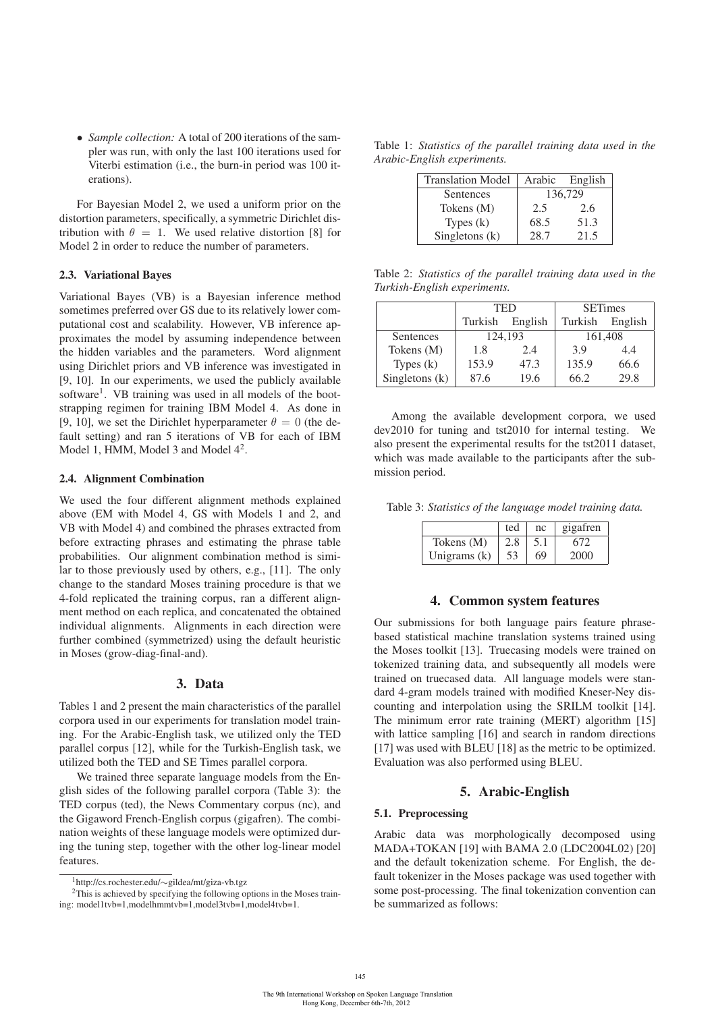• *Sample collection:* A total of 200 iterations of the sampler was run, with only the last 100 iterations used for Viterbi estimation (i.e., the burn-in period was 100 iterations).

For Bayesian Model 2, we used a uniform prior on the distortion parameters, specifically, a symmetric Dirichlet distribution with  $\theta = 1$ . We used relative distortion [8] for Model 2 in order to reduce the number of parameters.

#### 2.3. Variational Bayes

Variational Bayes (VB) is a Bayesian inference method sometimes preferred over GS due to its relatively lower computational cost and scalability. However, VB inference approximates the model by assuming independence between the hidden variables and the parameters. Word alignment using Dirichlet priors and VB inference was investigated in [9, 10]. In our experiments, we used the publicly available software<sup>1</sup>. VB training was used in all models of the bootstrapping regimen for training IBM Model 4. As done in [9, 10], we set the Dirichlet hyperparameter  $\theta = 0$  (the default setting) and ran 5 iterations of VB for each of IBM Model 1, HMM, Model 3 and Model  $4^2$ .

### 2.4. Alignment Combination

We used the four different alignment methods explained above (EM with Model 4, GS with Models 1 and 2, and VB with Model 4) and combined the phrases extracted from before extracting phrases and estimating the phrase table probabilities. Our alignment combination method is similar to those previously used by others, e.g., [11]. The only change to the standard Moses training procedure is that we 4-fold replicated the training corpus, ran a different alignment method on each replica, and concatenated the obtained individual alignments. Alignments in each direction were further combined (symmetrized) using the default heuristic in Moses (grow-diag-final-and).

### 3. Data

Tables 1 and 2 present the main characteristics of the parallel corpora used in our experiments for translation model training. For the Arabic-English task, we utilized only the TED parallel corpus [12], while for the Turkish-English task, we utilized both the TED and SE Times parallel corpora.

We trained three separate language models from the English sides of the following parallel corpora (Table 3): the TED corpus (ted), the News Commentary corpus (nc), and the Gigaword French-English corpus (gigafren). The combination weights of these language models were optimized during the tuning step, together with the other log-linear model features.

Table 1: *Statistics of the parallel training data used in the Arabic-English experiments.*

| <b>Translation Model</b> | Arabic | English |
|--------------------------|--------|---------|
| Sentences                |        | 136,729 |
| Tokens $(M)$             | 2.5    | 2.6     |
| Types $(k)$              | 68.5   | 51.3    |
| Singletons $(k)$         | 28.7   | 21.5    |

Table 2: *Statistics of the parallel training data used in the Turkish-English experiments.*

|                |         | TED     | <b>SETimes</b> |         |  |
|----------------|---------|---------|----------------|---------|--|
|                | Turkish | English | Turkish        | English |  |
| Sentences      | 124,193 |         | 161,408        |         |  |
| Tokens (M)     | 1.8     | 2.4     | 3.9            | 4.4     |  |
| Types $(k)$    | 153.9   | 47.3    | 135.9          | 66.6    |  |
| Singletons (k) | 87.6    | 19.6    | 66.2           | 29.8    |  |

Among the available development corpora, we used dev2010 for tuning and tst2010 for internal testing. We also present the experimental results for the tst2011 dataset, which was made available to the participants after the submission period.

Table 3: *Statistics of the language model training data.*

|                | ted | nc  | gigafren |
|----------------|-----|-----|----------|
| Tokens (M)     | 2.8 | 5.1 | 672      |
| Unigrams $(k)$ | 53  | 69  | 2000     |

### 4. Common system features

Our submissions for both language pairs feature phrasebased statistical machine translation systems trained using the Moses toolkit [13]. Truecasing models were trained on tokenized training data, and subsequently all models were trained on truecased data. All language models were standard 4-gram models trained with modified Kneser-Ney discounting and interpolation using the SRILM toolkit [14]. The minimum error rate training (MERT) algorithm [15] with lattice sampling [16] and search in random directions [17] was used with BLEU [18] as the metric to be optimized. Evaluation was also performed using BLEU.

### 5. Arabic-English

#### 5.1. Preprocessing

Arabic data was morphologically decomposed using MADA+TOKAN [19] with BAMA 2.0 (LDC2004L02) [20] and the default tokenization scheme. For English, the default tokenizer in the Moses package was used together with some post-processing. The final tokenization convention can be summarized as follows:

<sup>1</sup>http://cs.rochester.edu/∼gildea/mt/giza-vb.tgz 2This is achieved by specifying the following options in the Moses training: model1tvb=1,modelhmmtvb=1,model3tvb=1,model4tvb=1.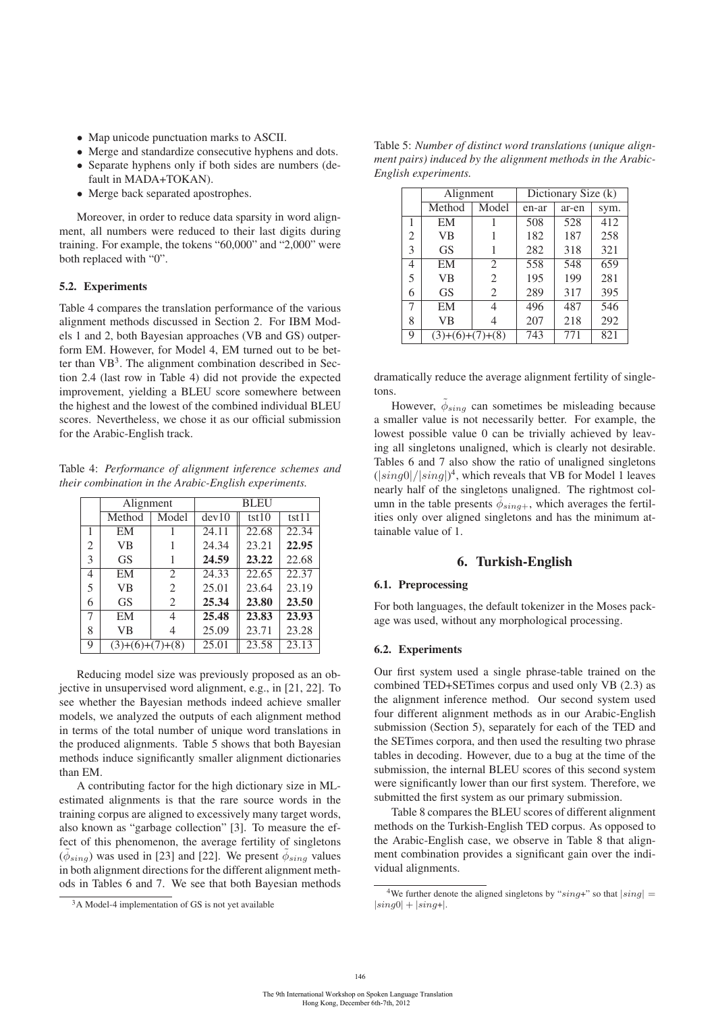- Map unicode punctuation marks to ASCII.
- Merge and standardize consecutive hyphens and dots.
- Separate hyphens only if both sides are numbers (default in MADA+TOKAN).
- Merge back separated apostrophes.

Moreover, in order to reduce data sparsity in word alignment, all numbers were reduced to their last digits during training. For example, the tokens "60,000" and "2,000" were both replaced with "0".

### 5.2. Experiments

Table 4 compares the translation performance of the various alignment methods discussed in Section 2. For IBM Models 1 and 2, both Bayesian approaches (VB and GS) outperform EM. However, for Model 4, EM turned out to be better than  $VB^3$ . The alignment combination described in Section 2.4 (last row in Table 4) did not provide the expected improvement, yielding a BLEU score somewhere between the highest and the lowest of the combined individual BLEU scores. Nevertheless, we chose it as our official submission for the Arabic-English track.

Table 4: *Performance of alignment inference schemes and their combination in the Arabic-English experiments.*

|                             | Alignment         |                             | <b>BLEU</b> |       |       |  |
|-----------------------------|-------------------|-----------------------------|-------------|-------|-------|--|
|                             | Method            | Model                       | dev10       | tst10 | tst11 |  |
| 1                           | EM                |                             | 24.11       | 22.68 | 22.34 |  |
| $\mathcal{D}_{\mathcal{L}}$ | VB                |                             | 24.34       | 23.21 | 22.95 |  |
| 3                           | <b>GS</b>         |                             | 24.59       | 23.22 | 22.68 |  |
| 4                           | EM                | 2                           | 24.33       | 22.65 | 22.37 |  |
| 5                           | VB                | $\mathcal{D}_{\mathcal{L}}$ | 25.01       | 23.64 | 23.19 |  |
| 6                           | <b>GS</b>         | 2                           | 25.34       | 23.80 | 23.50 |  |
| 7                           | EM                | 4                           | 25.48       | 23.83 | 23.93 |  |
| 8                           | VB                |                             | 25.09       | 23.71 | 23.28 |  |
| 9                           | $(3)+(6)+(7)+(8)$ |                             | 25.01       | 23.58 | 23.13 |  |

Reducing model size was previously proposed as an objective in unsupervised word alignment, e.g., in [21, 22]. To see whether the Bayesian methods indeed achieve smaller models, we analyzed the outputs of each alignment method in terms of the total number of unique word translations in the produced alignments. Table 5 shows that both Bayesian methods induce significantly smaller alignment dictionaries than EM.

A contributing factor for the high dictionary size in MLestimated alignments is that the rare source words in the training corpus are aligned to excessively many target words, also known as "garbage collection" [3]. To measure the effect of this phenomenon, the average fertility of singletons  $(\phi_{sing})$  was used in [23] and [22]. We present  $\phi_{sing}$  values in both alignment directions for the different alignment methods in Tables 6 and 7. We see that both Bayesian methods

Table 5: *Number of distinct word translations (unique alignment pairs) induced by the alignment methods in the Arabic-English experiments.*

|                | Alignment         |                | Dictionary Size (k) |       |      |
|----------------|-------------------|----------------|---------------------|-------|------|
|                | Method            | Model          | en-ar               | ar-en | sym. |
| 1              | EM                |                | 508                 | 528   | 412  |
| $\overline{c}$ | VB                |                | 182                 | 187   | 258  |
| 3              | <b>GS</b>         |                | 282                 | 318   | 321  |
| 4              | EM                | 2              | 558                 | 548   | 659  |
| 5              | VB                | $\overline{c}$ | 195                 | 199   | 281  |
| 6              | <b>GS</b>         | 2              | 289                 | 317   | 395  |
| 7              | EM                | 4              | 496                 | 487   | 546  |
| 8              | VB                |                | 207                 | 218   | 292  |
| 9              | $(3)+(6)+(7)+(8)$ |                | 743                 | 771   | 821  |

dramatically reduce the average alignment fertility of singletons.

However,  $\phi_{sing}$  can sometimes be misleading because a smaller value is not necessarily better. For example, the lowest possible value 0 can be trivially achieved by leaving all singletons unaligned, which is clearly not desirable. Tables 6 and 7 also show the ratio of unaligned singletons  $(|sing0|/|sing|)^4$ , which reveals that VB for Model 1 leaves<br>nearly half of the singletons unaligned. The rightmost colnearly half of the singletons unaligned. The rightmost column in the table presents  $\phi_{sing+}$ , which averages the fertilities only over aligned singletons and has the minimum attainable value of 1.

### 6. Turkish-English

#### 6.1. Preprocessing

For both languages, the default tokenizer in the Moses package was used, without any morphological processing.

#### 6.2. Experiments

Our first system used a single phrase-table trained on the combined TED+SETimes corpus and used only VB (2.3) as the alignment inference method. Our second system used four different alignment methods as in our Arabic-English submission (Section 5), separately for each of the TED and the SETimes corpora, and then used the resulting two phrase tables in decoding. However, due to a bug at the time of the submission, the internal BLEU scores of this second system were significantly lower than our first system. Therefore, we submitted the first system as our primary submission.

Table 8 compares the BLEU scores of different alignment methods on the Turkish-English TED corpus. As opposed to the Arabic-English case, we observe in Table 8 that alignment combination provides a significant gain over the individual alignments.

<sup>3</sup>A Model-4 implementation of GS is not yet available

<sup>&</sup>lt;sup>4</sup>We further denote the aligned singletons by " $sing$ +" so that  $|sing|$  =  $|sing0| + |sing+|$ .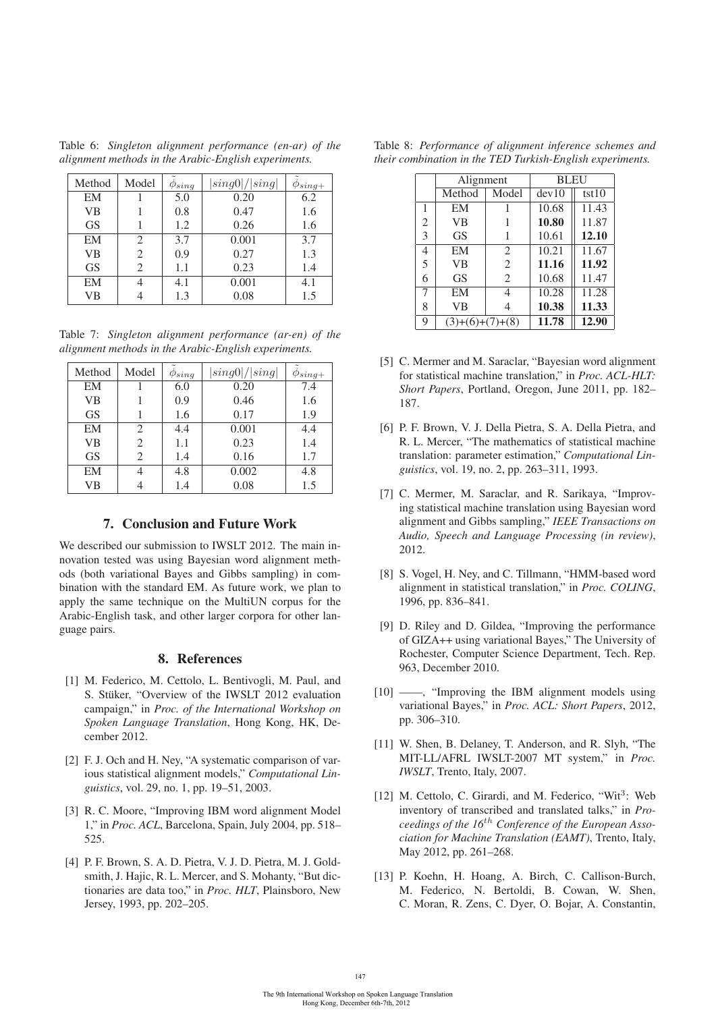Table 6: *Singleton alignment performance (en-ar) of the alignment methods in the Arabic-English experiments.*

| Method    | Model                       | $\varphi_{sing}$ | sing0 / sing | $\varphi_{sing+}$ |
|-----------|-----------------------------|------------------|--------------|-------------------|
| EM        |                             | 5.0              | 0.20         | 6.2               |
| <b>VB</b> |                             | 0.8              | 0.47         | 1.6               |
| <b>GS</b> |                             | 1.2              | 0.26         | 1.6               |
| EM        | $\mathcal{D}_{\mathcal{L}}$ | 3.7              | 0.001        | 3.7               |
| <b>VB</b> | 2                           | 0.9              | 0.27         | 1.3               |
| <b>GS</b> | 2                           | 1.1              | 0.23         | 1.4               |
| EM        |                             | 4.1              | 0.001        | 4.1               |
| VB        |                             | 1.3              | 0.08         | 1.5               |

Table 7: *Singleton alignment performance (ar-en) of the alignment methods in the Arabic-English experiments.*

| Method    | Model          | $\varphi_{sing}$ | sing0 / sing | $\varphi_{sing+}$ |
|-----------|----------------|------------------|--------------|-------------------|
| EM        |                | 6.0              | 0.20         | 7.4               |
| <b>VB</b> |                | 0.9              | 0.46         | 1.6               |
| <b>GS</b> |                | 1.6              | 0.17         | 1.9               |
| EM        | $\overline{c}$ | 4.4              | 0.001        | 4.4               |
| <b>VB</b> | $\overline{c}$ | 1.1              | 0.23         | 1.4               |
| <b>GS</b> | 2              | 1.4              | 0.16         | 1.7               |
| EM        |                | 4.8              | 0.002        | 4.8               |
| VВ        |                | 1.4              | 0.08         | 1.5               |

### 7. Conclusion and Future Work

We described our submission to IWSLT 2012. The main innovation tested was using Bayesian word alignment methods (both variational Bayes and Gibbs sampling) in combination with the standard EM. As future work, we plan to apply the same technique on the MultiUN corpus for the Arabic-English task, and other larger corpora for other language pairs.

### 8. References

- [1] M. Federico, M. Cettolo, L. Bentivogli, M. Paul, and S. Stüker, "Overview of the IWSLT 2012 evaluation campaign," in *Proc. of the International Workshop on Spoken Language Translation*, Hong Kong, HK, December 2012.
- [2] F. J. Och and H. Ney, "A systematic comparison of various statistical alignment models," *Computational Linguistics*, vol. 29, no. 1, pp. 19–51, 2003.
- [3] R. C. Moore, "Improving IBM word alignment Model 1," in *Proc. ACL*, Barcelona, Spain, July 2004, pp. 518– 525.
- [4] P. F. Brown, S. A. D. Pietra, V. J. D. Pietra, M. J. Goldsmith, J. Hajic, R. L. Mercer, and S. Mohanty, "But dictionaries are data too," in *Proc. HLT*, Plainsboro, New Jersey, 1993, pp. 202–205.

|  |  |  | Table 8: Performance of alignment inference schemes and   |  |
|--|--|--|-----------------------------------------------------------|--|
|  |  |  | their combination in the TED Turkish-English experiments. |  |

|                | Alignment         |       | <b>BLEU</b> |       |
|----------------|-------------------|-------|-------------|-------|
|                | Method            | Model | dev10       | tst10 |
| 1              | EM                |       | 10.68       | 11.43 |
| $\overline{2}$ | <b>VB</b>         |       | 10.80       | 11.87 |
| 3              | <b>GS</b>         |       | 10.61       | 12.10 |
| 4              | EM                | 2     | 10.21       | 11.67 |
| 5              | <b>VB</b>         | 2     | 11.16       | 11.92 |
| 6              | <b>GS</b>         | 2     | 10.68       | 11.47 |
| 7              | EM                |       | 10.28       | 11.28 |
| 8              | <b>VB</b>         |       | 10.38       | 11.33 |
| 9              | $(3)+(6)+(7)+(8)$ |       | 11.78       | 12.90 |

- [5] C. Mermer and M. Saraclar, "Bayesian word alignment for statistical machine translation," in *Proc. ACL-HLT: Short Papers*, Portland, Oregon, June 2011, pp. 182– 187.
- [6] P. F. Brown, V. J. Della Pietra, S. A. Della Pietra, and R. L. Mercer, "The mathematics of statistical machine translation: parameter estimation," *Computational Linguistics*, vol. 19, no. 2, pp. 263–311, 1993.
- [7] C. Mermer, M. Saraclar, and R. Sarikaya, "Improving statistical machine translation using Bayesian word alignment and Gibbs sampling," *IEEE Transactions on Audio, Speech and Language Processing (in review)*, 2012.
- [8] S. Vogel, H. Ney, and C. Tillmann, "HMM-based word alignment in statistical translation," in *Proc. COLING*, 1996, pp. 836–841.
- [9] D. Riley and D. Gildea, "Improving the performance of GIZA++ using variational Bayes," The University of Rochester, Computer Science Department, Tech. Rep. 963, December 2010.
- [10] ——, "Improving the IBM alignment models using variational Bayes," in *Proc. ACL: Short Papers*, 2012, pp. 306–310.
- [11] W. Shen, B. Delaney, T. Anderson, and R. Slyh, "The MIT-LL/AFRL IWSLT-2007 MT system," in *Proc. IWSLT*, Trento, Italy, 2007.
- [12] M. Cettolo, C. Girardi, and M. Federico, "Wit<sup>3</sup>: Web inventory of transcribed and translated talks," in *Proceedings of the 16*th *Conference of the European Association for Machine Translation (EAMT)*, Trento, Italy, May 2012, pp. 261–268.
- [13] P. Koehn, H. Hoang, A. Birch, C. Callison-Burch, M. Federico, N. Bertoldi, B. Cowan, W. Shen, C. Moran, R. Zens, C. Dyer, O. Bojar, A. Constantin,